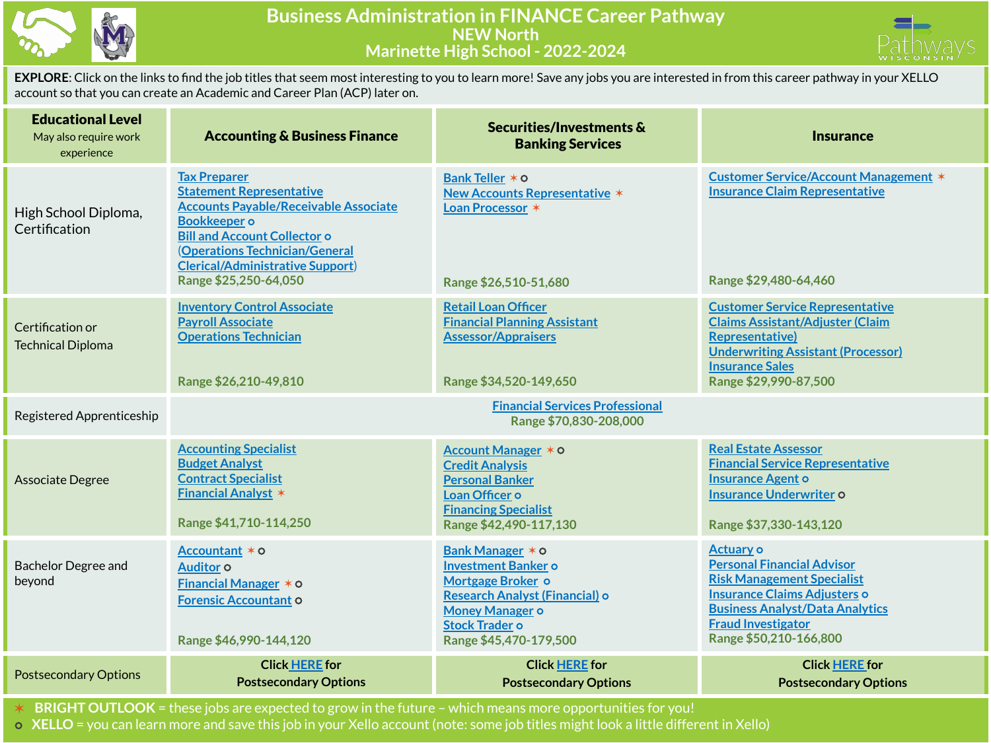



**EXPLORE**: Click on the links to find the job titles that seem most interesting to you to learn more! Save any jobs you are interested in from this career pathway in your XELLO account so that you can create an Academic and Career Plan (ACP) later on.

| <b>Educational Level</b><br>May also require work<br>experience | <b>Accounting &amp; Business Finance</b>                                                                                                                                                                                                                                   | Securities/Investments &<br><b>Banking Services</b>                                                                                                                                | <b>Insurance</b>                                                                                                                                                                                                                   |
|-----------------------------------------------------------------|----------------------------------------------------------------------------------------------------------------------------------------------------------------------------------------------------------------------------------------------------------------------------|------------------------------------------------------------------------------------------------------------------------------------------------------------------------------------|------------------------------------------------------------------------------------------------------------------------------------------------------------------------------------------------------------------------------------|
| High School Diploma,<br>Certification                           | <b>Tax Preparer</b><br><b>Statement Representative</b><br><b>Accounts Payable/Receivable Associate</b><br><b>Bookkeeper</b> o<br><b>Bill and Account Collector o</b><br>(Operations Technician/General<br><b>Clerical/Administrative Support)</b><br>Range \$25,250-64,050 | Bank Teller * 0<br><b>New Accounts Representative *</b><br>Loan Processor *<br>Range \$26,510-51,680                                                                               | <b>Customer Service/Account Management *</b><br><b>Insurance Claim Representative</b><br>Range \$29,480-64,460                                                                                                                     |
| Certification or<br><b>Technical Diploma</b>                    | <b>Inventory Control Associate</b><br><b>Payroll Associate</b><br><b>Operations Technician</b><br>Range \$26,210-49,810                                                                                                                                                    | <b>Retail Loan Officer</b><br><b>Financial Planning Assistant</b><br><b>Assessor/Appraisers</b><br>Range \$34,520-149,650                                                          | <b>Customer Service Representative</b><br><b>Claims Assistant/Adjuster (Claim</b><br><b>Representative)</b><br><b>Underwriting Assistant (Processor)</b><br><b>Insurance Sales</b><br>Range \$29,990-87,500                        |
| Registered Apprenticeship                                       |                                                                                                                                                                                                                                                                            | <b>Financial Services Professional</b><br>Range \$70,830-208,000                                                                                                                   |                                                                                                                                                                                                                                    |
| Associate Degree                                                | <b>Accounting Specialist</b><br><b>Budget Analyst</b><br><b>Contract Specialist</b><br><b>Financial Analyst *</b><br>Range \$41,710-114,250                                                                                                                                | Account Manager * 0<br><b>Credit Analysis</b><br><b>Personal Banker</b><br>Loan Officer o<br><b>Financing Specialist</b><br>Range \$42,490-117,130                                 | <b>Real Estate Assessor</b><br><b>Financial Service Representative</b><br><b>Insurance Agent o</b><br><b>Insurance Underwriter o</b><br>Range \$37,330-143,120                                                                     |
| <b>Bachelor Degree and</b><br>beyond                            | Accountant * o<br>Auditor o<br><b>Financial Manager <math>*</math> <math>\circ</math></b><br><b>Forensic Accountant O</b><br>Range \$46,990-144,120                                                                                                                        | Bank Manager * 0<br><b>Investment Banker o</b><br>Mortgage Broker o<br>Research Analyst (Financial) o<br><b>Money Manager o</b><br><b>Stock Trader o</b><br>Range \$45,470-179,500 | <b>Actuary o</b><br><b>Personal Financial Advisor</b><br><b>Risk Management Specialist</b><br><b>Insurance Claims Adjusters o</b><br><b>Business Analyst/Data Analytics</b><br><b>Fraud Investigator</b><br>Range \$50,210-166,800 |
| <b>Postsecondary Options</b>                                    | <b>Click HERE</b> for<br><b>Postsecondary Options</b>                                                                                                                                                                                                                      | <b>Click HERE for</b><br><b>Postsecondary Options</b>                                                                                                                              | <b>Click HERE for</b><br><b>Postsecondary Options</b>                                                                                                                                                                              |

✶ **BRIGHT OUTLOOK** = these jobs are expected to grow in the future – which means more opportunities for you!

⭘ **XELLO** = you can learn more and save this job in your Xello account (note: some job titles might look a little different in Xello)